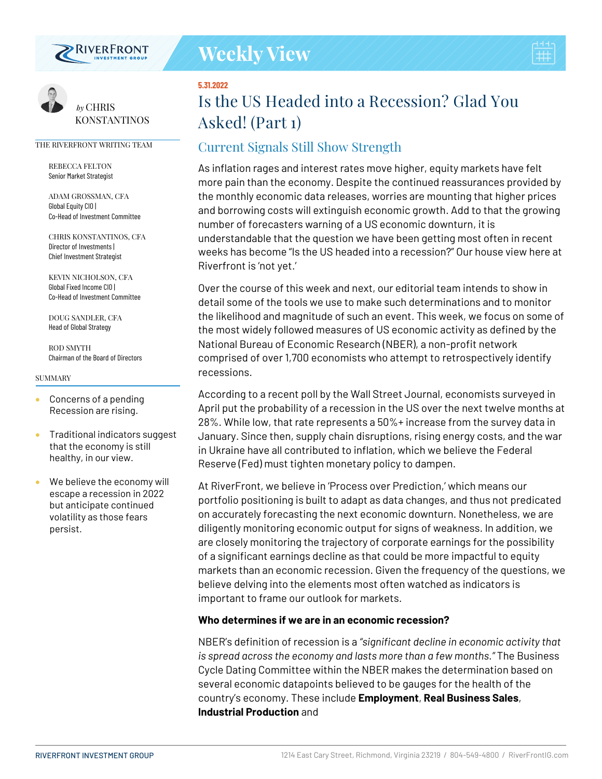

#### **5.31.2022**

# **Is the US Headed into a Recession? Glad You Asked! (Part 1)**

## Current Signals Still Show Strength

As inflation rages and interest rates move higher, equity markets have felt more pain than the economy. Despite the continued reassurances provided by the monthly economic data releases, worries are mounting that higher prices and borrowing costs will extinguish economic growth. Add to that the growing number of forecasters warning of a US economic downturn, it is understandable that the question we have been getting most often in recent weeks has become "Is the US headed into a recession?" Our house view here at Riverfront is 'not yet.'

Over the course of this week and next, our editorial team intends to show in detail some of the tools we use to make such determinations and to monitor the likelihood and magnitude of such an event. This week, we focus on some of the most widely followed measures of US economic activity as defined by the National Bureau of Economic Research (NBER), a non-profit network comprised of over 1,700 economists who attempt to retrospectively identify recessions.

According to a recent poll by the Wall Street Journal, economists surveyed in April put the probability of a recession in the US over the next twelve months at 28%. While low, that rate represents a 50%+ increase from the survey data in January. Since then, supply chain disruptions, rising energy costs, and the war in Ukraine have all contributed to inflation, which we believe the Federal Reserve (Fed) must tighten monetary policy to dampen.

At RiverFront, we believe in 'Process over Prediction,' which means our portfolio positioning is built to adapt as data changes, and thus not predicated on accurately forecasting the next economic downturn. Nonetheless, we are diligently monitoring economic output for signs of weakness. In addition, we are closely monitoring the trajectory of corporate earnings for the possibility of a significant earnings decline as that could be more impactful to equity markets than an economic recession. Given the frequency of the questions, we believe delving into the elements most often watched as indicators is important to frame our outlook for markets.

## **Who determines if we are in an economic recession?**

NBER's definition of recession is a *"significant decline in economic activity that is spread across the economy and lasts more than a few months."* The Business Cycle Dating Committee within the NBER makes the determination based on several economic datapoints believed to be gauges for the health of the country's economy. These include **Employment**, **Real Business Sales**, **Industrial Production** and



*by* CHRIS KONSTANTINOS

#### THE RIVERFRONT WRITING TEAM

REBECCA FELTON Senior Market Strategist

ADAM GROSSMAN, CFA Global Equity CIO | Co-Head of Investment Committee

CHRIS KONSTANTINOS, CFA Director of Investments | Chief Investment Strategist

KEVIN NICHOLSON, CFA Global Fixed Income CIO | Co-Head of Investment Committee

DOUG SANDLER, CFA Head of Global Strategy

ROD SMYTH Chairman of the Board of Directors

#### SUMMARY

- Concerns of a pending Recession are rising.
- Traditional indicators suggest that the economy is still healthy, in our view.
- We believe the economy will escape a recession in 2022 but anticipate continued volatility as those fears persist.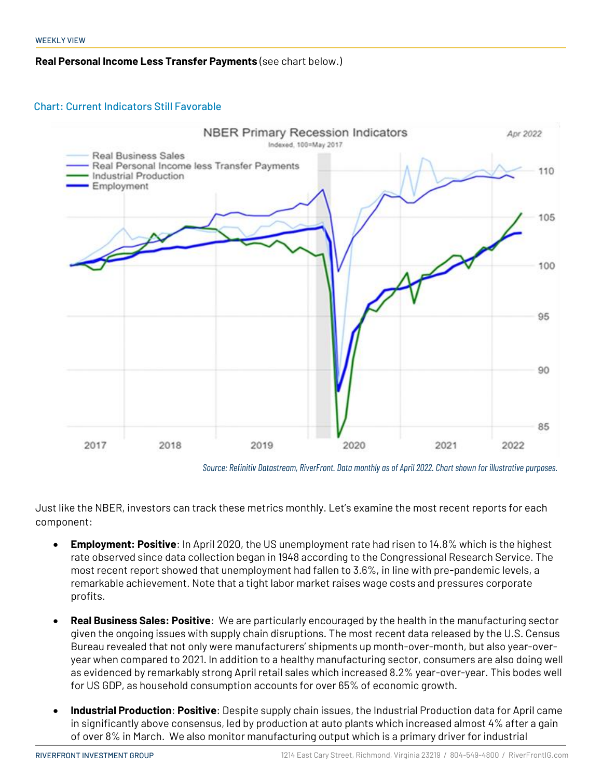## **Real Personal Income Less Transfer Payments** (see chart below.)

## Chart: Current Indicators Still Favorable



*Source: Refinitiv Datastream, RiverFront. Data monthly as of April 2022. Chart shown for illustrative purposes.*

Just like the NBER, investors can track these metrics monthly. Let's examine the most recent reports for each component:

- **Employment: Positive**: In April 2020, the US unemployment rate had risen to 14.8% which is the highest rate observed since data collection began in 1948 according to the Congressional Research Service. The most recent report showed that unemployment had fallen to 3.6%, in line with pre-pandemic levels, a remarkable achievement. Note that a tight labor market raises wage costs and pressures corporate profits.
- **Real Business Sales: Positive**: We are particularly encouraged by the health in the manufacturing sector given the ongoing issues with supply chain disruptions. The most recent data released by the U.S. Census Bureau revealed that not only were manufacturers' shipments up month-over-month, but also year-overyear when compared to 2021. In addition to a healthy manufacturing sector, consumers are also doing well as evidenced by remarkably strong April retail sales which increased 8.2% year-over-year. This bodes well for US GDP, as household consumption accounts for over 65% of economic growth.
- **Industrial Production**: **Positive**: Despite supply chain issues, the Industrial Production data for April came in significantly above consensus, led by production at auto plants which increased almost 4% after a gain of over 8% in March. We also monitor manufacturing output which is a primary driver for industrial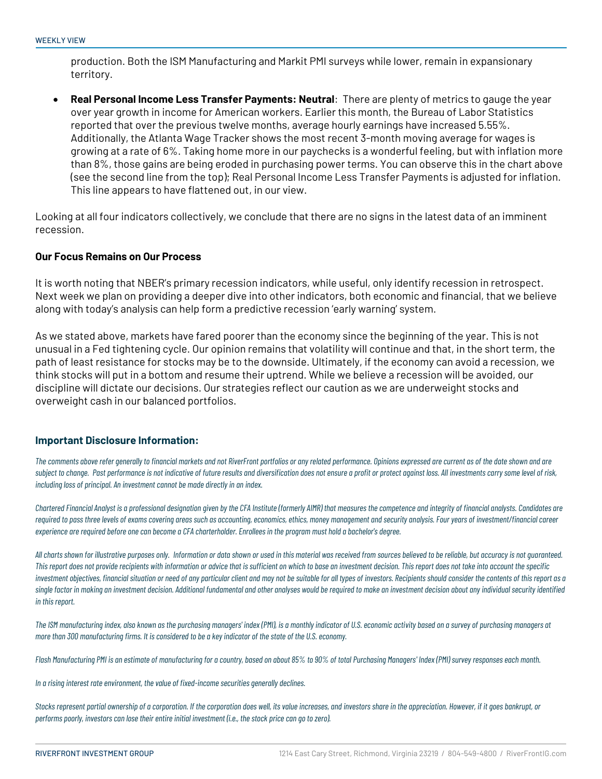production. Both the ISM Manufacturing and Markit PMI surveys while lower, remain in expansionary territory.

• **Real Personal Income Less Transfer Payments: Neutral**: There are plenty of metrics to gauge the year over year growth in income for American workers. Earlier this month, the Bureau of Labor Statistics reported that over the previous twelve months, average hourly earnings have increased 5.55%. Additionally, the Atlanta Wage Tracker shows the most recent 3-month moving average for wages is growing at a rate of 6%. Taking home more in our paychecks is a wonderful feeling, but with inflation more than 8%, those gains are being eroded in purchasing power terms. You can observe this in the chart above (see the second line from the top); Real Personal Income Less Transfer Payments is adjusted for inflation. This line appears to have flattened out, in our view.

Looking at all four indicators collectively, we conclude that there are no signs in the latest data of an imminent recession.

## **Our Focus Remains on Our Process**

It is worth noting that NBER's primary recession indicators, while useful, only identify recession in retrospect. Next week we plan on providing a deeper dive into other indicators, both economic and financial, that we believe along with today's analysis can help form a predictive recession 'early warning' system.

As we stated above, markets have fared poorer than the economy since the beginning of the year. This is not unusual in a Fed tightening cycle. Our opinion remains that volatility will continue and that, in the short term, the path of least resistance for stocks may be to the downside. Ultimately, if the economy can avoid a recession, we think stocks will put in a bottom and resume their uptrend. While we believe a recession will be avoided, our discipline will dictate our decisions. Our strategies reflect our caution as we are underweight stocks and overweight cash in our balanced portfolios.

### **Important Disclosure Information:**

*The comments above refer generally to financial markets and not RiverFront portfolios or any related performance. Opinions expressed are current as of the date shown and are subject to change. Past performance is not indicative of future results and diversification does not ensure a profit or protect against loss. All investments carry some level of risk, including loss of principal. An investment cannot be made directly in an index.*

*Chartered Financial Analyst is a professional designation given by the CFA Institute (formerly AIMR) that measures the competence and integrity of financial analysts. Candidates are*  required to pass three levels of exams covering areas such as accounting, economics, ethics, money management and security analysis. Four years of investment/financial career *experience are required before one can become a CFA charterholder. Enrollees in the program must hold a bachelor's degree.*

*All charts shown for illustrative purposes only. Information or data shown or used in this material was received from sources believed to be reliable, but accuracy is not guaranteed. This report does not provide recipients with information or advice that is sufficient on which to base an investment decision. This report does not take into account the specific investment objectives, financial situation or need of any particular client and may not be suitable for all types of investors. Recipients should consider the contents of this report as a single factor in making an investment decision. Additional fundamental and other analyses would be required to make an investment decision about any individual security identified in this report.*

*The ISM manufacturing index, also known as the purchasing managers' index (PMI), is a monthly indicator of U.S. economic activity based on a survey of purchasing managers at more than 300 manufacturing firms. It is considered to be a key indicator of the state of the U.S. economy.*

*Flash Manufacturing PMI is an estimate of manufacturing for a country, based on about 85% to 90% of total Purchasing Managers' Index (PMI) survey responses each month.*

*In a rising interest rate environment, the value of fixed-income securities generally declines.*

*Stocks represent partial ownership of a corporation. If the corporation does well, its value increases, and investors share in the appreciation. However, if it goes bankrupt, or performs poorly, investors can lose their entire initial investment (i.e., the stock price can go to zero).*